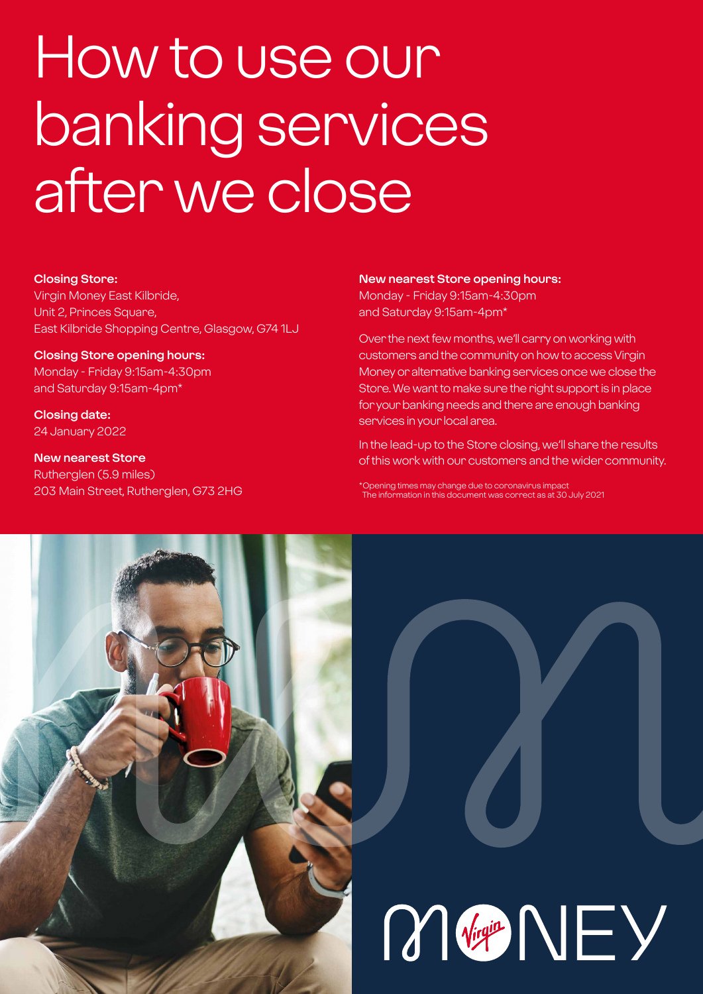# How to use our banking services after we close

#### **Closing Store:**

Virgin Money East Kilbride, Unit 2, Princes Square, East Kilbride Shopping Centre, Glasgow, G74 1LJ

**Closing Store opening hours:**  Monday - Friday 9:15am-4:30pm and Saturday 9:15am-4pm\*

**Closing date:**  24 January 2022

**New nearest Store** Rutherglen (5.9 miles) 203 Main Street, Rutherglen, G73 2HG

#### **New nearest Store opening hours:**

Monday - Friday 9:15am-4:30pm and Saturday 9:15am-4pm\*

Over the next few months, we'll carry on working with customers and the community on how to access Virgin Money or alternative banking services once we close the Store. We want to make sure the right support is in place for your banking needs and there are enough banking services in your local area.

In the lead-up to the Store closing, we'll share the results of this work with our customers and the wider community.

\*Opening times may change due to coronavirus impact The information in this document was correct as at 30 July 2021

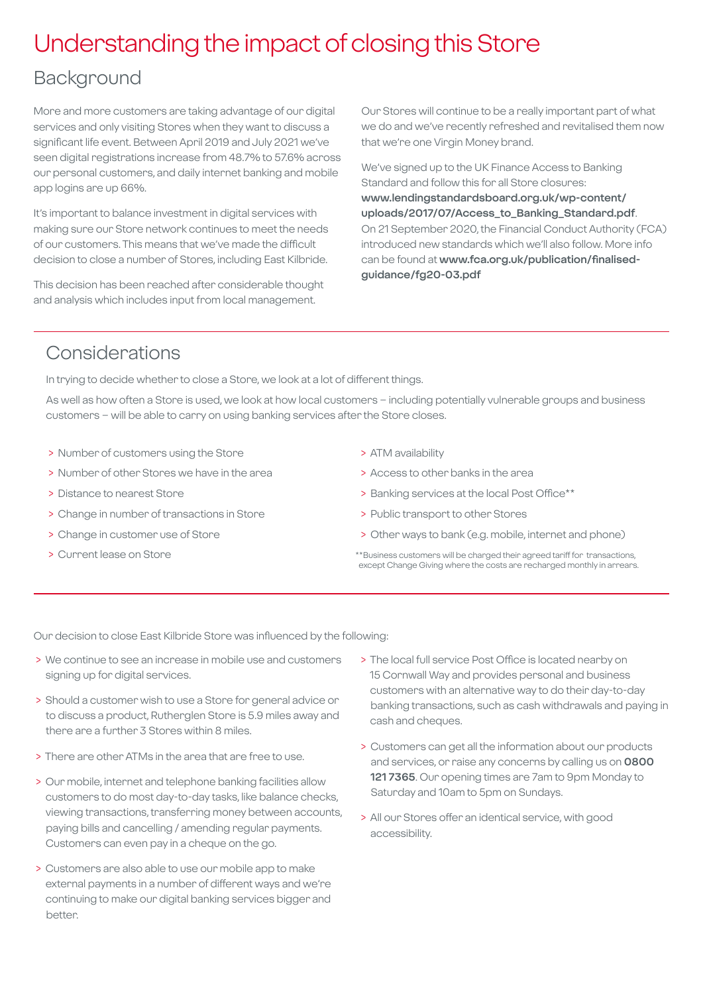## Understanding the impact of closing this Store

### Background

More and more customers are taking advantage of our digital services and only visiting Stores when they want to discuss a significant life event. Between April 2019 and July 2021 we've seen digital registrations increase from 48.7% to 57.6% across our personal customers, and daily internet banking and mobile app logins are up 66%.

It's important to balance investment in digital services with making sure our Store network continues to meet the needs of our customers. This means that we've made the difficult decision to close a number of Stores, including East Kilbride.

This decision has been reached after considerable thought and analysis which includes input from local management.

Our Stores will continue to be a really important part of what we do and we've recently refreshed and revitalised them now that we're one Virgin Money brand.

We've signed up to the UK Finance Access to Banking Standard and follow this for all Store closures: **[www.lendingstandardsboard.org.uk/wp-content/](http://www.lendingstandardsboard.org.uk/wp-content/uploads/2017/07/Access_to_Banking_Standard.pdf) [uploads/2017/07/Access\\_to\\_Banking\\_Standard.pdf](http://www.lendingstandardsboard.org.uk/wp-content/uploads/2017/07/Access_to_Banking_Standard.pdf)**. On 21 September 2020, the Financial Conduct Authority (FCA) introduced new standards which we'll also follow. More info can be found at **[www.fca.org.uk/publication/finalised](http://www.fca.org.uk/publication/finalised-guidance/fg20-03.pdf)[guidance/fg20-03.pdf](http://www.fca.org.uk/publication/finalised-guidance/fg20-03.pdf)**

## Considerations

In trying to decide whether to close a Store, we look at a lot of different things.

As well as how often a Store is used, we look at how local customers – including potentially vulnerable groups and business customers – will be able to carry on using banking services after the Store closes.

- > Number of customers using the Store
- > Number of other Stores we have in the area
- > Distance to nearest Store
- > Change in number of transactions in Store
- > Change in customer use of Store
- > Current lease on Store
- > ATM availability
- > Access to other banks in the area
- > Banking services at the local Post Office\*\*
- > Public transport to other Stores
- > Other ways to bank (e.g. mobile, internet and phone)
- \*\*Business customers will be charged their agreed tariff for transactions, except Change Giving where the costs are recharged monthly in arrears.

Our decision to close East Kilbride Store was influenced by the following:

- > We continue to see an increase in mobile use and customers signing up for digital services.
- > Should a customer wish to use a Store for general advice or to discuss a product, Rutherglen Store is 5.9 miles away and there are a further 3 Stores within 8 miles.
- > There are other ATMs in the area that are free to use.
- > Our mobile, internet and telephone banking facilities allow customers to do most day-to-day tasks, like balance checks, viewing transactions, transferring money between accounts, paying bills and cancelling / amending regular payments. Customers can even pay in a cheque on the go.
- > Customers are also able to use our mobile app to make external payments in a number of different ways and we're continuing to make our digital banking services bigger and better.
- > The local full service Post Office is located nearby on 15 Cornwall Way and provides personal and business customers with an alternative way to do their day-to-day banking transactions, such as cash withdrawals and paying in cash and cheques.
- > Customers can get all the information about our products and services, or raise any concerns by calling us on **0800 121 7365**. Our opening times are 7am to 9pm Monday to Saturday and 10am to 5pm on Sundays.
- > All our Stores offer an identical service, with good accessibility.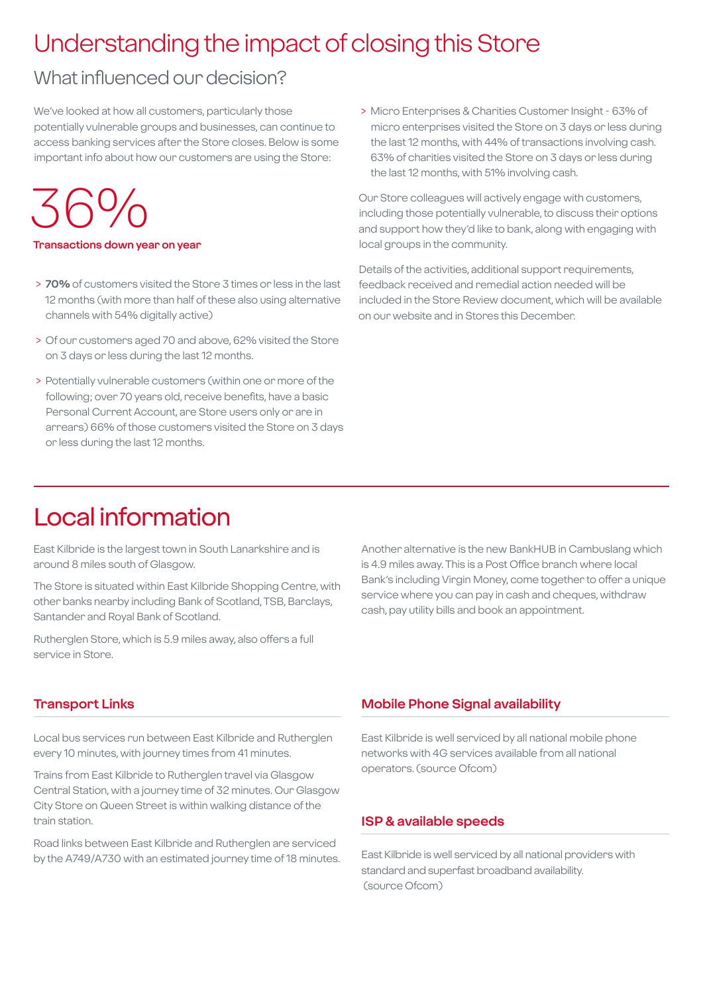## Understanding the impact of closing this Store

## What influenced our decision?

We've looked at how all customers, particularly those potentially vulnerable groups and businesses, can continue to access banking services after the Store closes. Below is some important info about how our customers are using the Store:

## $.564$

#### **Transactions down year on year**

- > **70%** of customers visited the Store 3 times or less in the last 12 months (with more than half of these also using alternative channels with 54% digitally active)
- > Of our customers aged 70 and above, 62% visited the Store on 3 days or less during the last 12 months.
- > Potentially vulnerable customers (within one or more of the following; over 70 years old, receive benefits, have a basic Personal Current Account, are Store users only or are in arrears) 66% of those customers visited the Store on 3 days or less during the last 12 months.

 > Micro Enterprises & Charities Customer Insight - 63% of micro enterprises visited the Store on 3 days or less during the last 12 months, with 44% of transactions involving cash. 63% of charities visited the Store on 3 days or less during the last 12 months, with 51% involving cash.

Our Store colleagues will actively engage with customers, including those potentially vulnerable, to discuss their options and support how they'd like to bank, along with engaging with local groups in the community.

Details of the activities, additional support requirements, feedback received and remedial action needed will be included in the Store Review document, which will be available on our website and in Stores this December.

## Local information

East Kilbride is the largest town in South Lanarkshire and is around 8 miles south of Glasgow.

The Store is situated within East Kilbride Shopping Centre, with other banks nearby including Bank of Scotland, TSB, Barclays, Santander and Royal Bank of Scotland.

Rutherglen Store, which is 5.9 miles away, also offers a full service in Store.

Another alternative is the new BankHUB in Cambuslang which is 4.9 miles away. This is a Post Office branch where local Bank's including Virgin Money, come together to offer a unique service where you can pay in cash and cheques, withdraw cash, pay utility bills and book an appointment.

#### **Transport Links**

Local bus services run between East Kilbride and Rutherglen every 10 minutes, with journey times from 41 minutes.

Trains from East Kilbride to Rutherglen travel via Glasgow Central Station, with a journey time of 32 minutes. Our Glasgow City Store on Queen Street is within walking distance of the train station.

Road links between East Kilbride and Rutherglen are serviced by the A749/A730 with an estimated journey time of 18 minutes.

#### **Mobile Phone Signal availability**

East Kilbride is well serviced by all national mobile phone networks with 4G services available from all national operators. (source Ofcom)

#### **ISP & available speeds**

East Kilbride is well serviced by all national providers with standard and superfast broadband availability. (source Ofcom)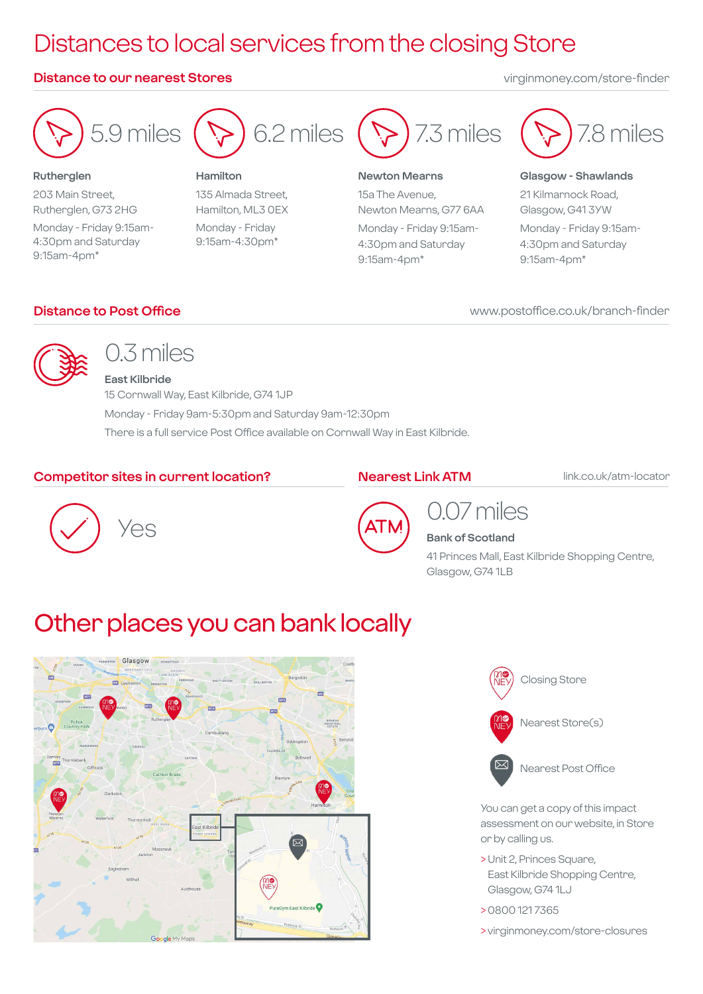## Distances to local services from the closing Store

#### **Distance to our nearest Stores** virginmoney.com/store-finder



**Rutherglen** 203 Main Street, Rutherglen, G73 2HG Monday - Friday 9:15am-4:30pm and Saturday 9:15am-4pm\*



#### **Hamilton**

135 Almada Street, Hamilton, ML3 0EX Monday - Friday 9:15am-4:30pm\*



#### **Newton Mearns**

15a The Avenue, Newton Mearns, G77 6AA Monday - Friday 9:15am-4:30pm and Saturday 9:15am-4pm\*



#### **Glasgow - Shawlands**

21 Kilmarnock Road, Glasgow, G41 3YW Monday - Friday 9:15am-4:30pm and Saturday 9:15am-4pm\*

#### **Distance to Post Office**

#### www.postoffice.co.uk/branch-finder



## 0.3 miles

**East Kilbride** 15 Cornwall Way, East Kilbride, G74 1JP Monday - Friday 9am-5:30pm and Saturday 9am-12:30pm There is a full service Post Office available on Cornwall Way in East Kilbride.

#### **Competitor sites in current location?**

#### **Nearest Link ATM**

link.co.uk/atm-locator





### 0.07 miles **Bank of Scotland**

41 Princes Mall, East Kilbride Shopping Centre, Glasgow, G74 1LB

## Other places you can bank locally





You can get a copy of this impact assessment on our website, in Store or by calling us.

- > Unit 2, Princes Square, East Kilbride Shopping Centre, Glasgow, G74 1LJ
- > 0800 121 7365
- > virginmoney.com/store-closures